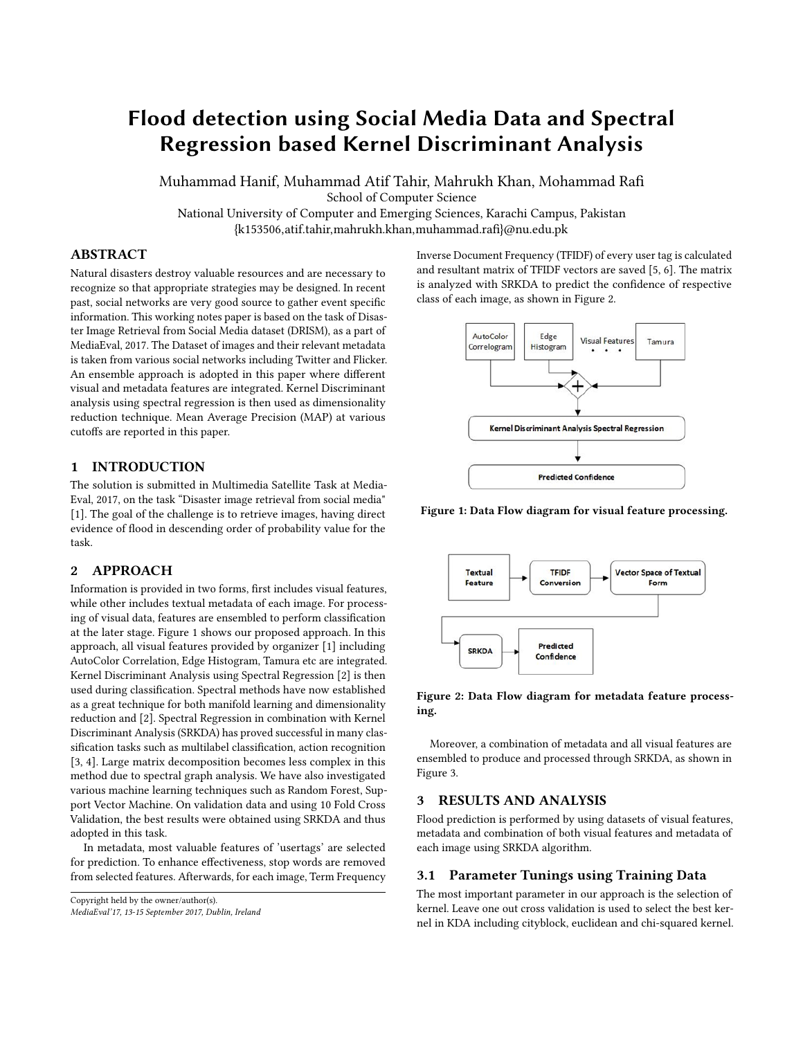# Flood detection using Social Media Data and Spectral Regression based Kernel Discriminant Analysis

Muhammad Hanif, Muhammad Atif Tahir, Mahrukh Khan, Mohammad Rafi

School of Computer Science

National University of Computer and Emerging Sciences, Karachi Campus, Pakistan {k153506,atif.tahir,mahrukh.khan,muhammad.rafi}@nu.edu.pk

# ABSTRACT

Natural disasters destroy valuable resources and are necessary to recognize so that appropriate strategies may be designed. In recent past, social networks are very good source to gather event specific information. This working notes paper is based on the task of Disaster Image Retrieval from Social Media dataset (DRISM), as a part of MediaEval, 2017. The Dataset of images and their relevant metadata is taken from various social networks including Twitter and Flicker. An ensemble approach is adopted in this paper where different visual and metadata features are integrated. Kernel Discriminant analysis using spectral regression is then used as dimensionality reduction technique. Mean Average Precision (MAP) at various cutoffs are reported in this paper.

#### 1 INTRODUCTION

The solution is submitted in Multimedia Satellite Task at Media-Eval, 2017, on the task "Disaster image retrieval from social media" [\[1\]](#page-2-0). The goal of the challenge is to retrieve images, having direct evidence of flood in descending order of probability value for the task.

# 2 APPROACH

Information is provided in two forms, first includes visual features, while other includes textual metadata of each image. For processing of visual data, features are ensembled to perform classification at the later stage. Figure [1](#page-0-0) shows our proposed approach. In this approach, all visual features provided by organizer [\[1\]](#page-2-0) including AutoColor Correlation, Edge Histogram, Tamura etc are integrated. Kernel Discriminant Analysis using Spectral Regression [\[2\]](#page-2-1) is then used during classification. Spectral methods have now established as a great technique for both manifold learning and dimensionality reduction and [\[2\]](#page-2-1). Spectral Regression in combination with Kernel Discriminant Analysis (SRKDA) has proved successful in many classification tasks such as multilabel classification, action recognition [\[3,](#page-2-2) [4\]](#page-2-3). Large matrix decomposition becomes less complex in this method due to spectral graph analysis. We have also investigated various machine learning techniques such as Random Forest, Support Vector Machine. On validation data and using 10 Fold Cross Validation, the best results were obtained using SRKDA and thus adopted in this task.

In metadata, most valuable features of 'usertags' are selected for prediction. To enhance effectiveness, stop words are removed from selected features. Afterwards, for each image, Term Frequency

Copyright held by the owner/author(s).

MediaEval'17, 13-15 September 2017, Dublin, Ireland

Inverse Document Frequency (TFIDF) of every user tag is calculated and resultant matrix of TFIDF vectors are saved [\[5,](#page-2-4) [6\]](#page-2-5). The matrix is analyzed with SRKDA to predict the confidence of respective class of each image, as shown in Figure [2.](#page-0-1)

<span id="page-0-0"></span>

Figure 1: Data Flow diagram for visual feature processing.

<span id="page-0-1"></span>



Moreover, a combination of metadata and all visual features are ensembled to produce and processed through SRKDA, as shown in Figure [3.](#page-1-0)

# 3 RESULTS AND ANALYSIS

Flood prediction is performed by using datasets of visual features, metadata and combination of both visual features and metadata of each image using SRKDA algorithm.

#### 3.1 Parameter Tunings using Training Data

The most important parameter in our approach is the selection of kernel. Leave one out cross validation is used to select the best kernel in KDA including cityblock, euclidean and chi-squared kernel.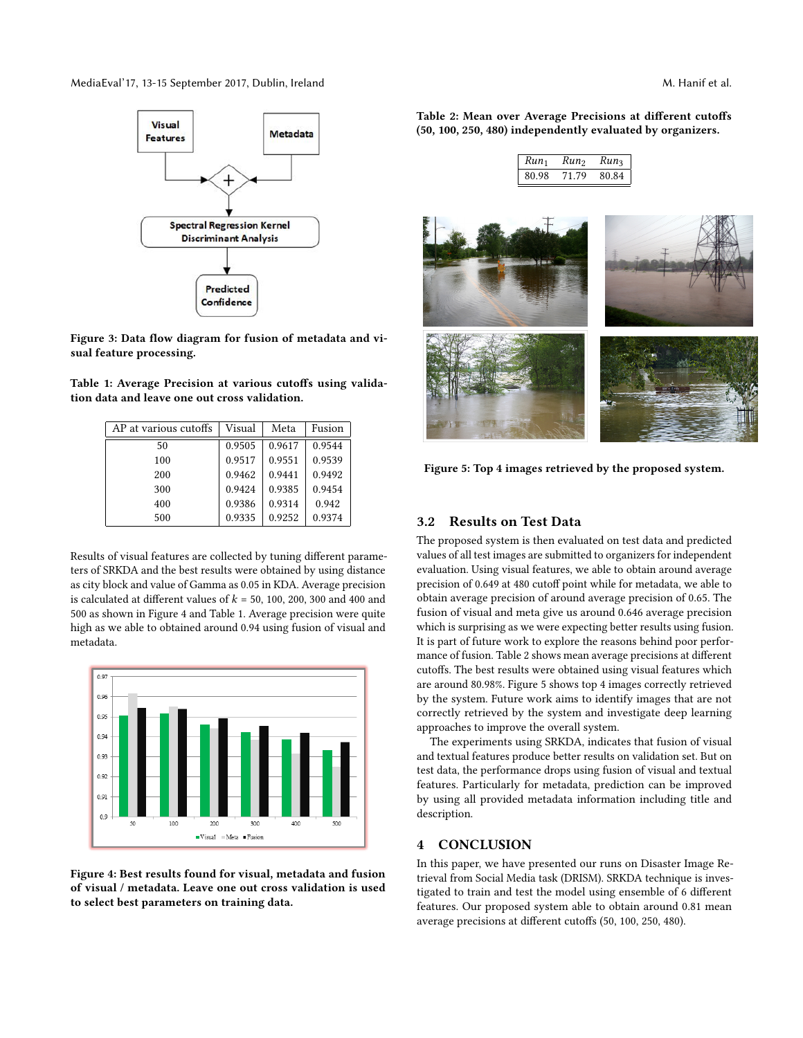<span id="page-1-0"></span>MediaEval'17, 13-15 September 2017, Dublin, Ireland M. Hanif et al. M. Hanif et al.



Figure 3: Data flow diagram for fusion of metadata and visual feature processing.

<span id="page-1-2"></span>

| Table 1: Average Precision at various cutoffs using valida- |  |  |  |
|-------------------------------------------------------------|--|--|--|
| tion data and leave one out cross validation.               |  |  |  |

| AP at various cutoffs | Visual | Meta   | Fusion |
|-----------------------|--------|--------|--------|
| 50                    | 0.9505 | 0.9617 | 0.9544 |
| 100                   | 0.9517 | 0.9551 | 0.9539 |
| 200                   | 0.9462 | 0.9441 | 0.9492 |
| 300                   | 0.9424 | 0.9385 | 0.9454 |
| 400                   | 0.9386 | 0.9314 | 0.942  |
| 500                   | 0.9335 | 0.9252 | 0.9374 |

Results of visual features are collected by tuning different parameters of SRKDA and the best results were obtained by using distance as city block and value of Gamma as 0.05 in KDA. Average precision is calculated at different values of  $k = 50$ , 100, 200, 300 and 400 and 500 as shown in Figure [4](#page-1-1) and Table [1.](#page-1-2) Average precision were quite high as we able to obtained around 0.94 using fusion of visual and metadata.

<span id="page-1-1"></span>

Figure 4: Best results found for visual, metadata and fusion of visual / metadata. Leave one out cross validation is used to select best parameters on training data.

<span id="page-1-3"></span>Table 2: Mean over Average Precisions at different cutoffs (50, 100, 250, 480) independently evaluated by organizers.

| Run <sub>1</sub> | Run <sub>2</sub> | Run <sub>3</sub> |
|------------------|------------------|------------------|
| 80.98            | 71 79            | 80.84            |

<span id="page-1-4"></span>

Figure 5: Top 4 images retrieved by the proposed system.

#### 3.2 Results on Test Data

The proposed system is then evaluated on test data and predicted values of all test images are submitted to organizers for independent evaluation. Using visual features, we able to obtain around average precision of 0.649 at 480 cutoff point while for metadata, we able to obtain average precision of around average precision of 0.65. The fusion of visual and meta give us around 0.646 average precision which is surprising as we were expecting better results using fusion. It is part of future work to explore the reasons behind poor performance of fusion. Table [2](#page-1-3) shows mean average precisions at different cutoffs. The best results were obtained using visual features which are around 80.98%. Figure [5](#page-1-4) shows top 4 images correctly retrieved by the system. Future work aims to identify images that are not correctly retrieved by the system and investigate deep learning approaches to improve the overall system.

The experiments using SRKDA, indicates that fusion of visual and textual features produce better results on validation set. But on test data, the performance drops using fusion of visual and textual features. Particularly for metadata, prediction can be improved by using all provided metadata information including title and description.

## 4 CONCLUSION

In this paper, we have presented our runs on Disaster Image Retrieval from Social Media task (DRISM). SRKDA technique is investigated to train and test the model using ensemble of 6 different features. Our proposed system able to obtain around 0.81 mean average precisions at different cutoffs (50, 100, 250, 480).